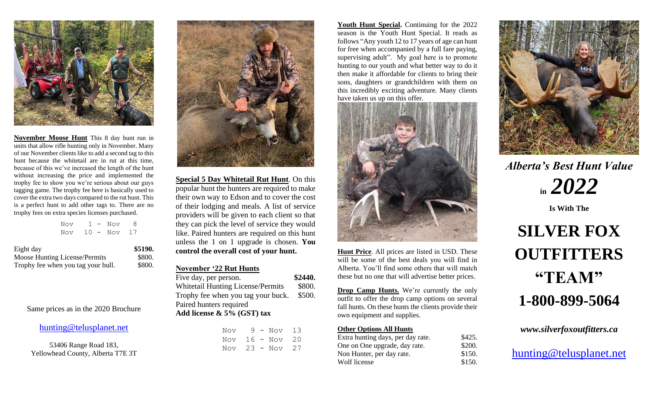

**November Moose Hunt** This 8 day hunt run in units that allow rifle hunting only in November. Many of our November clients like to add a second tag to this hunt because the whitetail are in rut at this time, because of this we've increased the length of the hunt without increasing the price and implemented the trophy fee to show you we're serious about our guys tagging game. The trophy fee here is basically used to cover the extra two days compared to the rut hunt. This is a perfect hunt to add other tags to. There are no trophy fees on extra species licenses purchased.

|  |  | Nov $1 - N$ ov 8     |  |
|--|--|----------------------|--|
|  |  | Nov $10 - N$ ov $17$ |  |

| Eight day                          | \$5190. |
|------------------------------------|---------|
| Moose Hunting License/Permits      | \$800.  |
| Trophy fee when you tag your bull. | \$800.  |

Same prices as in the 2020 Brochure

#### [hunting@telusplanet.net](mailto:hunting@telusplanet.net)

53406 Range Road 183, Yellowhead County, Alberta T7E 3T



**Special 5 Day Whitetail Rut Hunt**. On this popular hunt the hunters are required to make their own way to Edson and to cover the cost of their lodging and meals. A list of service providers will be given to each client so that they can pick the level of service they would like. Paired hunters are required on this hunt unless the 1 on 1 upgrade is chosen. **You control the overall cost of your hunt.**

### **November '22 Rut Hunts**

| Five day, per person.                    | \$2440. |
|------------------------------------------|---------|
| <b>Whitetail Hunting License/Permits</b> | \$800.  |
| Trophy fee when you tag your buck.       | \$500.  |
| Paired hunters required                  |         |
| Add license $\&$ 5% (GST) tax            |         |

| Nov |  | $9 - Nov$ | -13 |
|-----|--|-----------|-----|
| Nov |  | 16 - Nov  | 20  |
| Nov |  | 23 - Nov  | 27  |

**Youth Hunt Special.** Continuing for the 2022 season is the Youth Hunt Special. It reads as follows "Any youth 12 to 17 years of age can hunt for free when accompanied by a full fare paying, supervising adult". My goal here is to promote hunting to our youth and what better way to do it then make it affordable for clients to bring their sons, daughters or grandchildren with them on this incredibly exciting adventure. Many clients have taken us up on this offer.



**Hunt Price**. All prices are listed in USD. These will be some of the best deals you will find in Alberta. You'll find some others that will match these but no one that will advertise better prices.

**Drop Camp Hunts.** We're currently the only outfit to offer the drop camp options on several fall hunts. On these hunts the clients provide their own equipment and supplies.

#### **Other Options All Hunts**

| Extra hunting days, per day rate. | \$425. |
|-----------------------------------|--------|
| One on One upgrade, day rate.     | \$200. |
| Non Hunter, per day rate.         | \$150. |
| Wolf license                      | \$150. |
|                                   |        |



*Alberta's Best Hunt Value*  **in** *2022*

**Is With The**

# **SILVER FOX OUTFITTERS "TEAM" 1-800-899-5064**

*www.silverfoxoutfitters.ca*

[hunting@telusplanet.net](mailto:hunting@telusplanet.net)